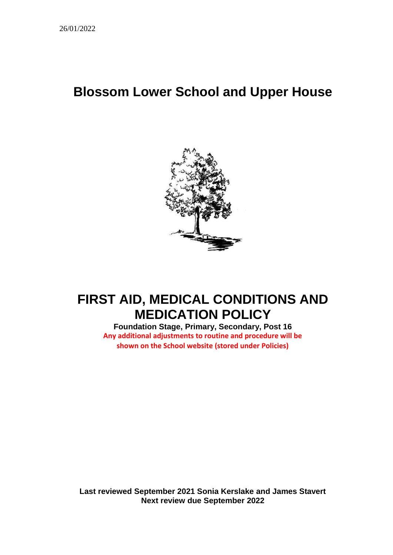# **Blossom Lower School and Upper House**



# **FIRST AID, MEDICAL CONDITIONS AND MEDICATION POLICY**

**Foundation Stage, Primary, Secondary, Post 16 Any additional adjustments to routine and procedure will be shown on the School website (stored under Policies)**

**Last reviewed September 2021 Sonia Kerslake and James Stavert Next review due September 2022**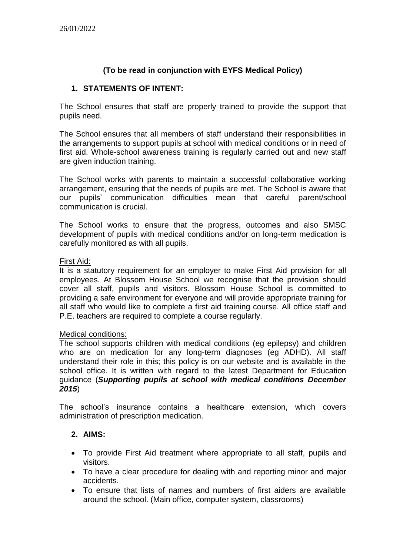# **(To be read in conjunction with EYFS Medical Policy)**

# **1. STATEMENTS OF INTENT:**

The School ensures that staff are properly trained to provide the support that pupils need.

The School ensures that all members of staff understand their responsibilities in the arrangements to support pupils at school with medical conditions or in need of first aid. Whole-school awareness training is regularly carried out and new staff are given induction training.

The School works with parents to maintain a successful collaborative working arrangement, ensuring that the needs of pupils are met. The School is aware that our pupils' communication difficulties mean that careful parent/school communication is crucial.

The School works to ensure that the progress, outcomes and also SMSC development of pupils with medical conditions and/or on long-term medication is carefully monitored as with all pupils.

## First Aid:

It is a statutory requirement for an employer to make First Aid provision for all employees. At Blossom House School we recognise that the provision should cover all staff, pupils and visitors. Blossom House School is committed to providing a safe environment for everyone and will provide appropriate training for all staff who would like to complete a first aid training course. All office staff and P.E. teachers are required to complete a course regularly.

## Medical conditions:

The school supports children with medical conditions (eg epilepsy) and children who are on medication for any long-term diagnoses (eg ADHD). All staff understand their role in this; this policy is on our website and is available in the school office. It is written with regard to the latest Department for Education guidance (*Supporting pupils at school with medical conditions December 2015*)

The school's insurance contains a healthcare extension, which covers administration of prescription medication.

## **2. AIMS:**

- To provide First Aid treatment where appropriate to all staff, pupils and visitors.
- To have a clear procedure for dealing with and reporting minor and major accidents.
- To ensure that lists of names and numbers of first aiders are available around the school. (Main office, computer system, classrooms)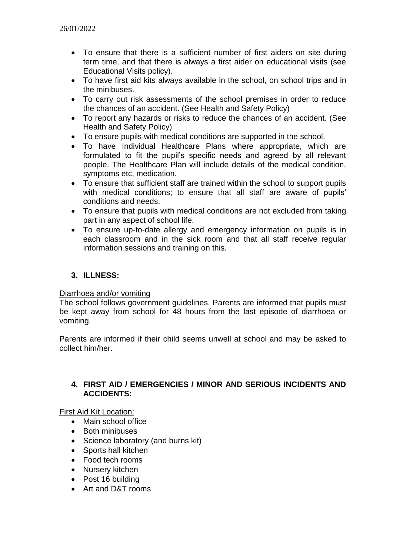- To ensure that there is a sufficient number of first aiders on site during term time, and that there is always a first aider on educational visits (see Educational Visits policy).
- To have first aid kits always available in the school, on school trips and in the minibuses.
- To carry out risk assessments of the school premises in order to reduce the chances of an accident. (See Health and Safety Policy)
- To report any hazards or risks to reduce the chances of an accident. (See Health and Safety Policy)
- To ensure pupils with medical conditions are supported in the school.
- To have Individual Healthcare Plans where appropriate, which are formulated to fit the pupil's specific needs and agreed by all relevant people. The Healthcare Plan will include details of the medical condition, symptoms etc, medication.
- To ensure that sufficient staff are trained within the school to support pupils with medical conditions; to ensure that all staff are aware of pupils' conditions and needs.
- To ensure that pupils with medical conditions are not excluded from taking part in any aspect of school life.
- To ensure up-to-date allergy and emergency information on pupils is in each classroom and in the sick room and that all staff receive regular information sessions and training on this.

# **3. ILLNESS:**

## Diarrhoea and/or vomiting

The school follows government guidelines. Parents are informed that pupils must be kept away from school for 48 hours from the last episode of diarrhoea or vomiting.

Parents are informed if their child seems unwell at school and may be asked to collect him/her.

# **4. FIRST AID / EMERGENCIES / MINOR AND SERIOUS INCIDENTS AND ACCIDENTS:**

First Aid Kit Location:

- Main school office
- Both minibuses
- Science laboratory (and burns kit)
- Sports hall kitchen
- Food tech rooms
- Nursery kitchen
- Post 16 building
- Art and D&T rooms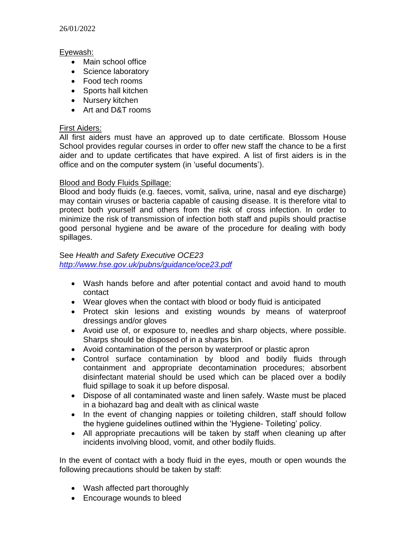## Eyewash:

- Main school office
- Science laboratory
- Food tech rooms
- Sports hall kitchen
- Nursery kitchen
- Art and D&T rooms

## First Aiders:

All first aiders must have an approved up to date certificate. Blossom House School provides regular courses in order to offer new staff the chance to be a first aider and to update certificates that have expired. A list of first aiders is in the office and on the computer system (in 'useful documents').

## Blood and Body Fluids Spillage:

Blood and body fluids (e.g. faeces, vomit, saliva, urine, nasal and eye discharge) may contain viruses or bacteria capable of causing disease. It is therefore vital to protect both yourself and others from the risk of cross infection. In order to minimize the risk of transmission of infection both staff and pupils should practise good personal hygiene and be aware of the procedure for dealing with body spillages.

#### See *Health and Safety Executive OCE23 <http://www.hse.gov.uk/pubns/guidance/oce23.pdf>*

- Wash hands before and after potential contact and avoid hand to mouth contact
- Wear gloves when the contact with blood or body fluid is anticipated
- Protect skin lesions and existing wounds by means of waterproof dressings and/or gloves
- Avoid use of, or exposure to, needles and sharp objects, where possible. Sharps should be disposed of in a sharps bin.
- Avoid contamination of the person by waterproof or plastic apron
- Control surface contamination by blood and bodily fluids through containment and appropriate decontamination procedures; absorbent disinfectant material should be used which can be placed over a bodily fluid spillage to soak it up before disposal.
- Dispose of all contaminated waste and linen safely. Waste must be placed in a biohazard bag and dealt with as clinical waste
- In the event of changing nappies or toileting children, staff should follow the hygiene guidelines outlined within the 'Hygiene- Toileting' policy.
- All appropriate precautions will be taken by staff when cleaning up after incidents involving blood, vomit, and other bodily fluids.

In the event of contact with a body fluid in the eyes, mouth or open wounds the following precautions should be taken by staff:

- Wash affected part thoroughly
- Encourage wounds to bleed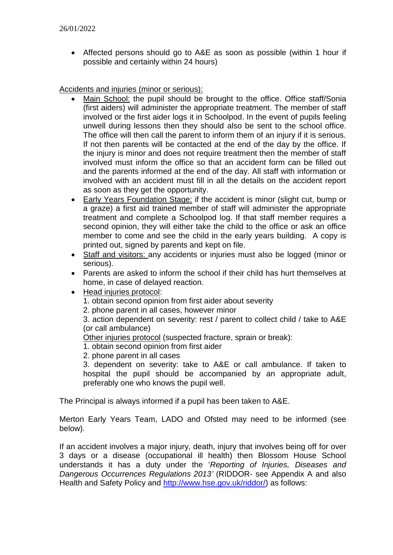• Affected persons should go to A&E as soon as possible (within 1 hour if possible and certainly within 24 hours)

Accidents and injuries (minor or serious):

- Main School: the pupil should be brought to the office. Office staff/Sonia (first aiders) will administer the appropriate treatment. The member of staff involved or the first aider logs it in Schoolpod. In the event of pupils feeling unwell during lessons then they should also be sent to the school office. The office will then call the parent to inform them of an injury if it is serious. If not then parents will be contacted at the end of the day by the office. If the injury is minor and does not require treatment then the member of staff involved must inform the office so that an accident form can be filled out and the parents informed at the end of the day. All staff with information or involved with an accident must fill in all the details on the accident report as soon as they get the opportunity.
- Early Years Foundation Stage: if the accident is minor (slight cut, bump or a graze) a first aid trained member of staff will administer the appropriate treatment and complete a Schoolpod log. If that staff member requires a second opinion, they will either take the child to the office or ask an office member to come and see the child in the early years building. A copy is printed out, signed by parents and kept on file.
- Staff and visitors: any accidents or injuries must also be logged (minor or serious).
- Parents are asked to inform the school if their child has hurt themselves at home, in case of delayed reaction.
- Head injuries protocol:
	- 1. obtain second opinion from first aider about severity
	- 2. phone parent in all cases, however minor

3. action dependent on severity: rest / parent to collect child / take to A&E (or call ambulance)

Other injuries protocol (suspected fracture, sprain or break):

- 1. obtain second opinion from first aider
- 2. phone parent in all cases

3. dependent on severity: take to A&E or call ambulance. If taken to hospital the pupil should be accompanied by an appropriate adult, preferably one who knows the pupil well.

The Principal is always informed if a pupil has been taken to A&E.

Merton Early Years Team, LADO and Ofsted may need to be informed (see below).

If an accident involves a major injury, death, injury that involves being off for over 3 days or a disease (occupational ill health) then Blossom House School understands it has a duty under the '*Reporting of Injuries, Diseases and Dangerous Occurrences Regulations 2013'* (RIDDOR- see Appendix A and also Health and Safety Policy and [http://www.hse.gov.uk/riddor/\)](http://www.hse.gov.uk/riddor/) as follows: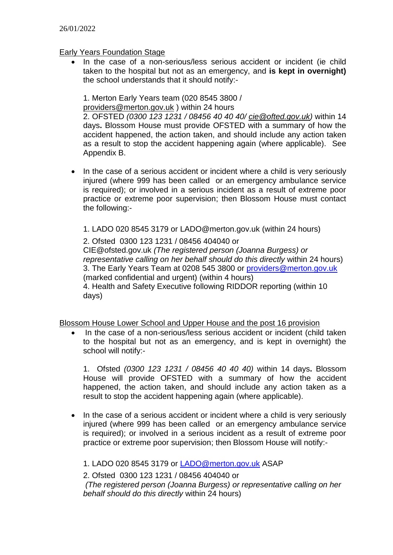# Early Years Foundation Stage

• In the case of a non-serious/less serious accident or incident (ie child taken to the hospital but not as an emergency, and **is kept in overnight)** the school understands that it should notify:-

1. Merton Early Years team (020 8545 3800 / [providers@merton.gov.uk](mailto:providers@merton.gov.uk) ) within 24 hours 2. OFSTED *(0300 123 1231 / 08456 40 40 40/ [cie@ofted.gov.uk\)](mailto:cie@ofted.gov.uk)* within 14 days**.** Blossom House must provide OFSTED with a summary of how the accident happened, the action taken, and should include any action taken as a result to stop the accident happening again (where applicable). See Appendix B.

• In the case of a serious accident or incident where a child is very seriously injured (where 999 has been called or an emergency ambulance service is required); or involved in a serious incident as a result of extreme poor practice or extreme poor supervision; then Blossom House must contact the following:-

1. LADO 020 8545 3179 or LADO@merton.gov.uk (within 24 hours)

2. Ofsted 0300 123 1231 / 08456 404040 or CIE@ofsted.gov.uk *(The registered person (Joanna Burgess) or representative calling on her behalf should do this directly* within 24 hours) 3. The Early Years Team at 0208 545 3800 or [providers@merton.gov.uk](mailto:providers@merton.gov.uk) (marked confidential and urgent) (within 4 hours) 4. Health and Safety Executive following RIDDOR reporting (within 10 days)

Blossom House Lower School and Upper House and the post 16 provision

In the case of a non-serious/less serious accident or incident (child taken to the hospital but not as an emergency, and is kept in overnight) the school will notify:-

1. Ofsted *(0300 123 1231 / 08456 40 40 40)* within 14 days**.** Blossom House will provide OFSTED with a summary of how the accident happened, the action taken, and should include any action taken as a result to stop the accident happening again (where applicable).

• In the case of a serious accident or incident where a child is very seriously injured (where 999 has been called or an emergency ambulance service is required); or involved in a serious incident as a result of extreme poor practice or extreme poor supervision; then Blossom House will notify:-

1. LADO 020 8545 3179 or [LADO@merton.gov.uk](mailto:LADO@merton.gov.uk) ASAP

2. Ofsted 0300 123 1231 / 08456 404040 or *(The registered person (Joanna Burgess) or representative calling on her behalf should do this directly* within 24 hours)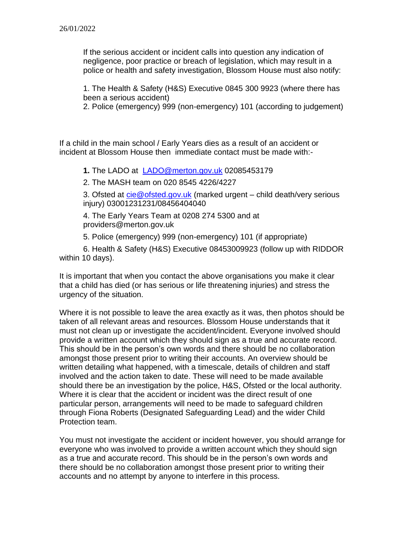If the serious accident or incident calls into question any indication of negligence, poor practice or breach of legislation, which may result in a police or health and safety investigation, Blossom House must also notify:

1. The Health & Safety (H&S) Executive 0845 300 9923 (where there has been a serious accident)

2. Police (emergency) 999 (non-emergency) 101 (according to judgement)

If a child in the main school / Early Years dies as a result of an accident or incident at Blossom House then immediate contact must be made with:-

**1.** The LADO at [LADO@merton.gov.uk](mailto:LADO@merton.gov.uk) 02085453179

2. The MASH team on 020 8545 4226/4227

3. Ofsted at [cie@ofsted.gov.uk](mailto:cie@ofsted.gov.uk) (marked urgent – child death/very serious injury) 03001231231/08456404040

4. The Early Years Team at 0208 274 5300 and at providers@merton.gov.uk

5. Police (emergency) 999 (non-emergency) 101 (if appropriate)

6. Health & Safety (H&S) Executive 08453009923 (follow up with RIDDOR within 10 days).

It is important that when you contact the above organisations you make it clear that a child has died (or has serious or life threatening injuries) and stress the urgency of the situation.

Where it is not possible to leave the area exactly as it was, then photos should be taken of all relevant areas and resources. Blossom House understands that it must not clean up or investigate the accident/incident. Everyone involved should provide a written account which they should sign as a true and accurate record. This should be in the person's own words and there should be no collaboration amongst those present prior to writing their accounts. An overview should be written detailing what happened, with a timescale, details of children and staff involved and the action taken to date. These will need to be made available should there be an investigation by the police, H&S, Ofsted or the local authority. Where it is clear that the accident or incident was the direct result of one particular person, arrangements will need to be made to safeguard children through Fiona Roberts (Designated Safeguarding Lead) and the wider Child Protection team.

You must not investigate the accident or incident however, you should arrange for everyone who was involved to provide a written account which they should sign as a true and accurate record. This should be in the person's own words and there should be no collaboration amongst those present prior to writing their accounts and no attempt by anyone to interfere in this process.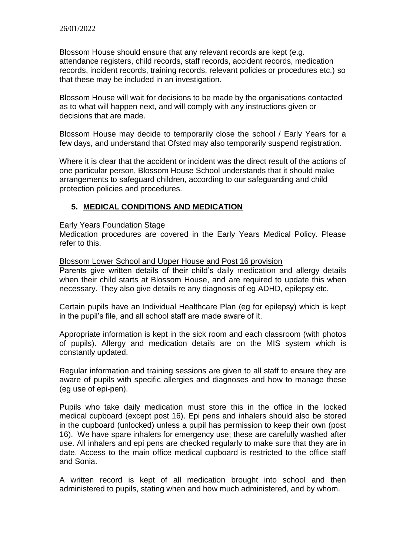Blossom House should ensure that any relevant records are kept (e.g. attendance registers, child records, staff records, accident records, medication records, incident records, training records, relevant policies or procedures etc.) so that these may be included in an investigation.

Blossom House will wait for decisions to be made by the organisations contacted as to what will happen next, and will comply with any instructions given or decisions that are made.

Blossom House may decide to temporarily close the school / Early Years for a few days, and understand that Ofsted may also temporarily suspend registration.

Where it is clear that the accident or incident was the direct result of the actions of one particular person, Blossom House School understands that it should make arrangements to safeguard children, according to our safeguarding and child protection policies and procedures.

# **5. MEDICAL CONDITIONS AND MEDICATION**

## Early Years Foundation Stage

Medication procedures are covered in the Early Years Medical Policy. Please refer to this.

Blossom Lower School and Upper House and Post 16 provision

Parents give written details of their child's daily medication and allergy details when their child starts at Blossom House, and are required to update this when necessary. They also give details re any diagnosis of eg ADHD, epilepsy etc.

Certain pupils have an Individual Healthcare Plan (eg for epilepsy) which is kept in the pupil's file, and all school staff are made aware of it.

Appropriate information is kept in the sick room and each classroom (with photos of pupils). Allergy and medication details are on the MIS system which is constantly updated.

Regular information and training sessions are given to all staff to ensure they are aware of pupils with specific allergies and diagnoses and how to manage these (eg use of epi-pen).

Pupils who take daily medication must store this in the office in the locked medical cupboard (except post 16). Epi pens and inhalers should also be stored in the cupboard (unlocked) unless a pupil has permission to keep their own (post 16). We have spare inhalers for emergency use; these are carefully washed after use. All inhalers and epi pens are checked regularly to make sure that they are in date. Access to the main office medical cupboard is restricted to the office staff and Sonia.

A written record is kept of all medication brought into school and then administered to pupils, stating when and how much administered, and by whom.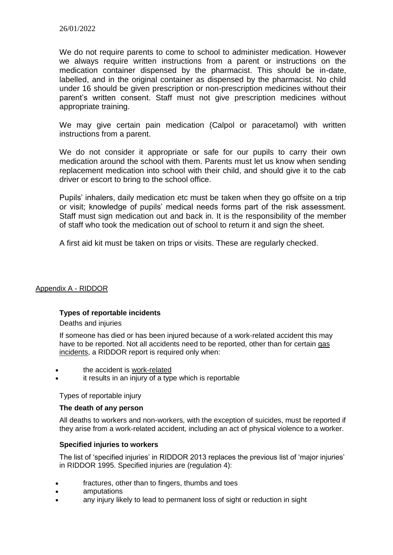We do not require parents to come to school to administer medication. However we always require written instructions from a parent or instructions on the medication container dispensed by the pharmacist. This should be in-date, labelled, and in the original container as dispensed by the pharmacist. No child under 16 should be given prescription or non-prescription medicines without their parent's written consent. Staff must not give prescription medicines without appropriate training.

We may give certain pain medication (Calpol or paracetamol) with written instructions from a parent.

We do not consider it appropriate or safe for our pupils to carry their own medication around the school with them. Parents must let us know when sending replacement medication into school with their child, and should give it to the cab driver or escort to bring to the school office.

Pupils' inhalers, daily medication etc must be taken when they go offsite on a trip or visit; knowledge of pupils' medical needs forms part of the risk assessment. Staff must sign medication out and back in. It is the responsibility of the member of staff who took the medication out of school to return it and sign the sheet.

A first aid kit must be taken on trips or visits. These are regularly checked.

## Appendix A - RIDDOR

### **Types of reportable incidents**

Deaths and injuries

If someone has died or has been injured because of a work-related accident this may have to be reported. Not all accidents need to be reported, other than for certain [gas](http://www.hse.gov.uk/riddor/reportable-incidents.htm#gas)  [incidents,](http://www.hse.gov.uk/riddor/reportable-incidents.htm#gas) a RIDDOR report is required only when:

- the accident is [work-related](http://www.hse.gov.uk/riddor/key-definitions.htm#work-related)
- it results in an injury of a type which is reportable

Types of reportable injury

### **The death of any person**

All deaths to workers and non-workers, with the exception of suicides, must be reported if they arise from a work-related accident, including an act of physical violence to a worker.

### **Specified injuries to workers**

The list of 'specified injuries' in RIDDOR 2013 replaces the previous list of 'major injuries' in RIDDOR 1995. Specified injuries are (regulation 4):

- fractures, other than to fingers, thumbs and toes
- amputations
- any injury likely to lead to permanent loss of sight or reduction in sight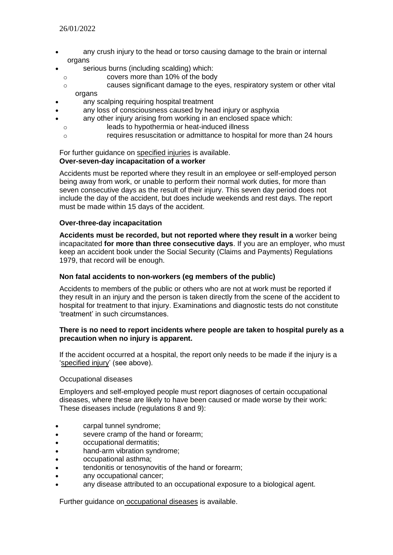- any crush injury to the head or torso causing damage to the brain or internal organs
- serious burns (including scalding) which:
- o covers more than 10% of the body
- o causes significant damage to the eyes, respiratory system or other vital organs
- any scalping requiring hospital treatment
- any loss of consciousness caused by head injury or asphyxia
- any other injury arising from working in an enclosed space which:
	- o leads to hypothermia or heat-induced illness
	- o requires resuscitation or admittance to hospital for more than 24 hours

#### For further guidance on [specified injuries](http://www.hse.gov.uk/riddor/specified-injuries.htm) is available. **Over-seven-day incapacitation of a worker**

Accidents must be reported where they result in an employee or self-employed person being away from work, or unable to perform their normal work duties, for more than seven consecutive days as the result of their injury. This seven day period does not include the day of the accident, but does include weekends and rest days. The report must be made within 15 days of the accident.

### **Over-three-day incapacitation**

**Accidents must be recorded, but not reported where they result in a** worker being incapacitated **for more than three consecutive days**. If you are an employer, who must keep an accident book under the Social Security (Claims and Payments) Regulations 1979, that record will be enough.

#### **Non fatal accidents to non-workers (eg members of the public)**

Accidents to members of the public or others who are not at work must be reported if they result in an injury and the person is taken directly from the scene of the accident to hospital for treatment to that injury. Examinations and diagnostic tests do not constitute 'treatment' in such circumstances.

#### **There is no need to report incidents where people are taken to hospital purely as a precaution when no injury is apparent.**

If the accident occurred at a hospital, the report only needs to be made if the injury is a ['specified injury'](http://www.hse.gov.uk/riddor/reportable-incidents.htm#specified) (see above).

#### Occupational diseases

Employers and self-employed people must report diagnoses of certain occupational diseases, where these are likely to have been caused or made worse by their work: These diseases include (regulations 8 and 9):

- carpal tunnel syndrome;
- severe cramp of the hand or forearm;
- occupational dermatitis;
- hand-arm vibration syndrome:
- occupational asthma;
- tendonitis or tenosynovitis of the hand or forearm;
- any occupational cancer;
- any disease attributed to an occupational exposure to a biological agent.

Further guidance on [occupational diseases](http://www.hse.gov.uk/riddor/occupational-diseases.htm) is available.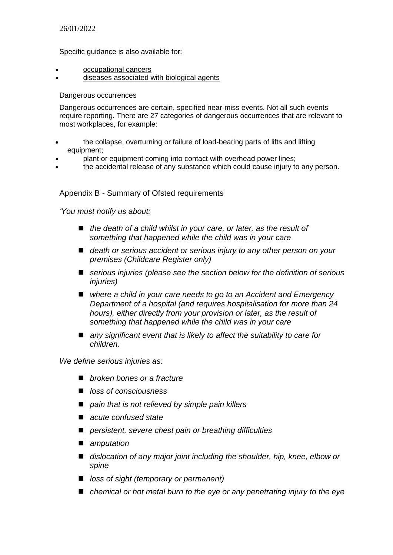Specific guidance is also available for:

- [occupational cancers](http://www.hse.gov.uk/riddor/carcinogens.htm)
- [diseases associated with biological agents](http://www.hse.gov.uk/riddor/carcinogens.htm#agents)

## Dangerous occurrences

Dangerous occurrences are certain, specified near-miss events. Not all such events require reporting. There are 27 categories of dangerous occurrences that are relevant to most workplaces, for example:

- the collapse, overturning or failure of load-bearing parts of lifts and lifting equipment;
- plant or equipment coming into contact with overhead power lines;
- the accidental release of any substance which could cause injury to any person.

# Appendix B - Summary of Ofsted requirements

*'You must notify us about:* 

- the death of a child whilst in your care, or later, as the result of *something that happened while the child was in your care*
- death or serious accident or serious injury to any other person on your *premises (Childcare Register only)*
- serious injuries (please see the section below for the definition of serious *injuries)*
- where a child in your care needs to go to an Accident and Emergency *Department of a hospital (and requires hospitalisation for more than 24 hours), either directly from your provision or later, as the result of something that happened while the child was in your care*
- any significant event that is likely to affect the suitability to care for *children.*

*We define serious injuries as:*

- *broken bones or a fracture*
- ◼ *loss of consciousness*
- *pain that is not relieved by simple pain killers*
- *acute confused state*
- *persistent, severe chest pain or breathing difficulties*
- *amputation*
- dislocation of any major joint including the shoulder, hip, knee, elbow or *spine*
- ◼ *loss of sight (temporary or permanent)*
- chemical or hot metal burn to the eye or any penetrating injury to the eye